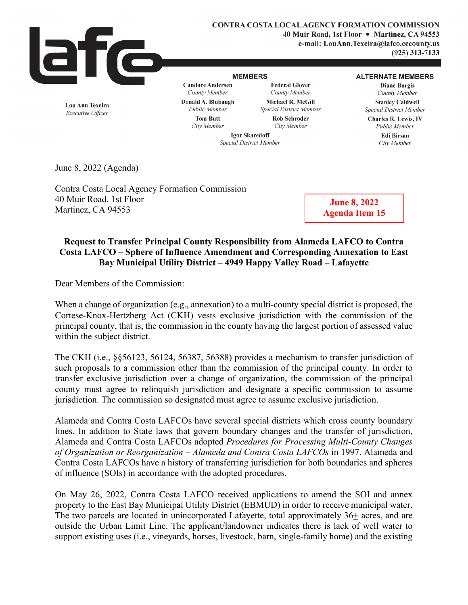

**CONTRA COSTA LOCAL AGENCY FORMATION COMMISSION 40 Muir Road, 1st Floor** • **Martinez, CA 94553 e-mail: LouAnn.Texeira@lafco.cccounty.us (925) 313-7133** 

## **MEMBERS**

**Candace Andersen**  *County Member* 

**Federal Glover**  *County Member*  **Michael R. McGill**  *Special District Member*  **Rob Schroder** 

#### **ALTERNATE MEMBERS**

**Diane Burgis**  *County Member*  **Stanley Caldwell**  *Special District Member* 

**Charles R. Lewis,** IV *Public Member* 

**Edi Birsan**  *City Member* 

**Lou Ann Texeira**  *Executive Officer* 

**Donald A. Blubaugh**  *Public Member*  **Tom Butt**  *City Member* 

*City Member* 

**Igor Skaredoff**  *Special District Member* 

June 8, 2022 (Agenda)

Contra Costa Local Agency Formation Commission 40 Muir Road, 1st Floor Martinez, CA 94553

**June 8, 2022 Agenda Item 15** 

# **Request to Transfer Principal County Responsibility from Alameda LAFCO to Contra Costa LAFCO – Sphere of Influence Amendment and Corresponding Annexation to East Bay Municipal Utility District – 4949 Happy Valley Road – Lafayette**

Dear Members of the Commission:

When a change of organization (e.g., annexation) to a multi-county special district is proposed, the Cortese-Knox-Hertzberg Act (CKH) vests exclusive jurisdiction with the commission of the principal county, that is, the commission in the county having the largest portion of assessed value within the subject district.

The CKH (i.e., §§56123, 56124, 56387, 56388) provides a mechanism to transfer jurisdiction of such proposals to a commission other than the commission of the principal county. In order to transfer exclusive jurisdiction over a change of organization, the commission of the principal county must agree to relinquish jurisdiction and designate a specific commission to assume jurisdiction. The commission so designated must agree to assume exclusive jurisdiction.

Alameda and Contra Costa LAFCOs have several special districts which cross county boundary lines. In addition to State laws that govern boundary changes and the transfer of jurisdiction, Alameda and Contra Costa LAFCOs adopted *Procedures for Processing Multi-County Changes of Organization or Reorganization – Alameda and Contra Costa LAFCOs* in 1997. Alameda and Contra Costa LAFCOs have a history of transferring jurisdiction for both boundaries and spheres of influence (SOIs) in accordance with the adopted procedures.

On May 26, 2022, Contra Costa LAFCO received applications to amend the SOI and annex property to the East Bay Municipal Utility District (EBMUD) in order to receive municipal water. The two parcels are located in unincorporated Lafayette, total approximately 36+ acres, and are outside the Urban Limit Line. The applicant/landowner indicates there is lack of well water to support existing uses (i.e., vineyards, horses, livestock, barn, single-family home) and the existing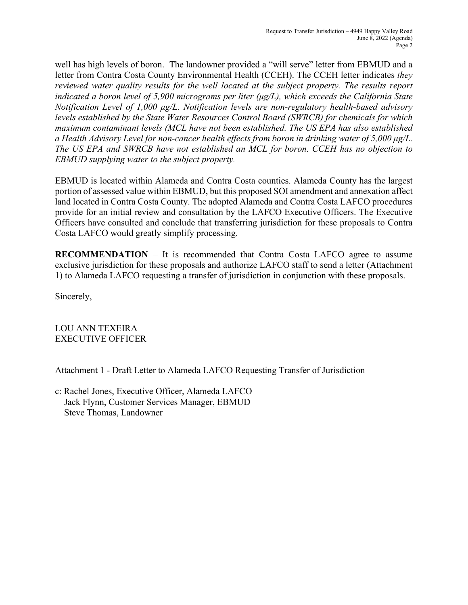well has high levels of boron. The landowner provided a "will serve" letter from EBMUD and a letter from Contra Costa County Environmental Health (CCEH). The CCEH letter indicates *they reviewed water quality results for the well located at the subject property. The results report indicated a boron level of 5,900 micrograms per liter (μg/L), which exceeds the California State Notification Level of 1,000 μg/L. Notification levels are non-regulatory health-based advisory levels established by the State Water Resources Control Board (SWRCB) for chemicals for which maximum contaminant levels (MCL have not been established. The US EPA has also established a Health Advisory Level for non-cancer health effects from boron in drinking water of 5,000 μg/L. The US EPA and SWRCB have not established an MCL for boron. CCEH has no objection to EBMUD supplying water to the subject property.*

EBMUD is located within Alameda and Contra Costa counties. Alameda County has the largest portion of assessed value within EBMUD, but this proposed SOI amendment and annexation affect land located in Contra Costa County. The adopted Alameda and Contra Costa LAFCO procedures provide for an initial review and consultation by the LAFCO Executive Officers. The Executive Officers have consulted and conclude that transferring jurisdiction for these proposals to Contra Costa LAFCO would greatly simplify processing.

**RECOMMENDATION** – It is recommended that Contra Costa LAFCO agree to assume exclusive jurisdiction for these proposals and authorize LAFCO staff to send a letter (Attachment 1) to Alameda LAFCO requesting a transfer of jurisdiction in conjunction with these proposals.

Sincerely,

LOU ANN TEXEIRA EXECUTIVE OFFICER

Attachment 1 - Draft Letter to Alameda LAFCO Requesting Transfer of Jurisdiction

c: Rachel Jones, Executive Officer, Alameda LAFCO Jack Flynn, Customer Services Manager, EBMUD Steve Thomas, Landowner